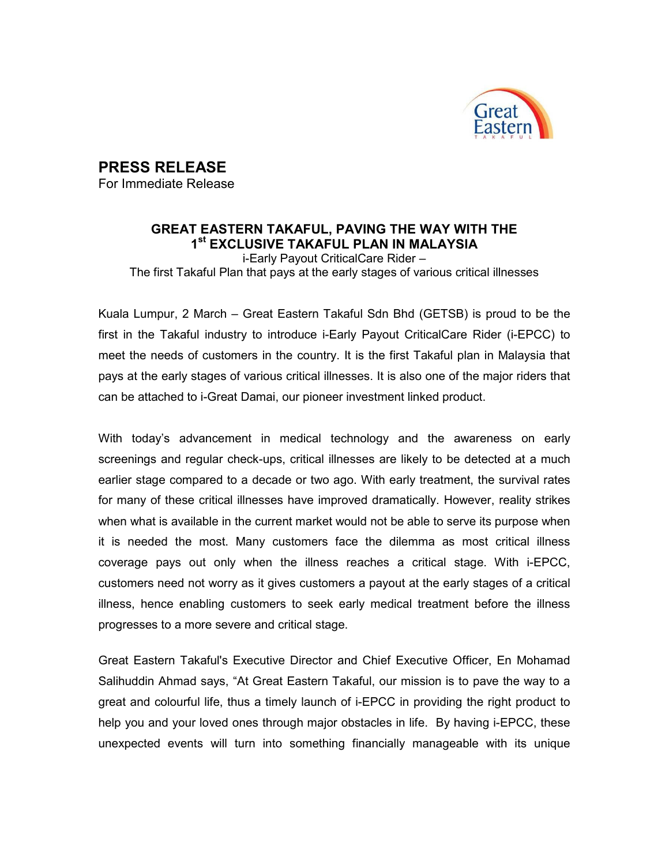

## PRESS RELEASE

For Immediate Release

## GREAT EASTERN TAKAFUL, PAVING THE WAY WITH THE 1 st EXCLUSIVE TAKAFUL PLAN IN MALAYSIA

i-Early Payout CriticalCare Rider – The first Takaful Plan that pays at the early stages of various critical illnesses

Kuala Lumpur, 2 March – Great Eastern Takaful Sdn Bhd (GETSB) is proud to be the first in the Takaful industry to introduce i-Early Payout CriticalCare Rider (i-EPCC) to meet the needs of customers in the country. It is the first Takaful plan in Malaysia that pays at the early stages of various critical illnesses. It is also one of the major riders that can be attached to i-Great Damai, our pioneer investment linked product.

With today's advancement in medical technology and the awareness on early screenings and regular check-ups, critical illnesses are likely to be detected at a much earlier stage compared to a decade or two ago. With early treatment, the survival rates for many of these critical illnesses have improved dramatically. However, reality strikes when what is available in the current market would not be able to serve its purpose when it is needed the most. Many customers face the dilemma as most critical illness coverage pays out only when the illness reaches a critical stage. With i-EPCC, customers need not worry as it gives customers a payout at the early stages of a critical illness, hence enabling customers to seek early medical treatment before the illness progresses to a more severe and critical stage.

Great Eastern Takaful's Executive Director and Chief Executive Officer, En Mohamad Salihuddin Ahmad says, "At Great Eastern Takaful, our mission is to pave the way to a great and colourful life, thus a timely launch of i-EPCC in providing the right product to help you and your loved ones through major obstacles in life. By having i-EPCC, these unexpected events will turn into something financially manageable with its unique